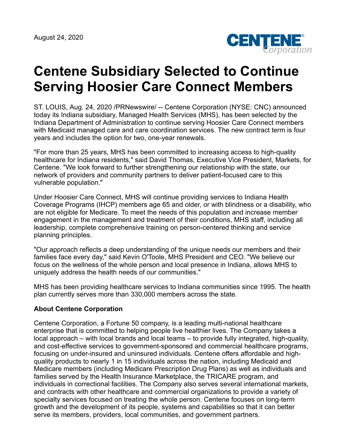

## **Centene Subsidiary Selected to Continue Serving Hoosier Care Connect Members**

ST. LOUIS, Aug. 24, 2020 /PRNewswire/ -- Centene Corporation (NYSE: CNC) announced today its Indiana subsidiary, Managed Health Services (MHS), has been selected by the Indiana Department of Administration to continue serving Hoosier Care Connect members with Medicaid managed care and care coordination services. The new contract term is four years and includes the option for two, one-year renewals.

"For more than 25 years, MHS has been committed to increasing access to high-quality healthcare for Indiana residents," said David Thomas, Executive Vice President, Markets, for Centene. "We look forward to further strengthening our relationship with the state, our network of providers and community partners to deliver patient-focused care to this vulnerable population."

Under Hoosier Care Connect, MHS will continue providing services to Indiana Health Coverage Programs (IHCP) members age 65 and older, or with blindness or a disability, who are not eligible for Medicare. To meet the needs of this population and increase member engagement in the management and treatment of their conditions, MHS staff, including all leadership, complete comprehensive training on person-centered thinking and service planning principles.

"Our approach reflects a deep understanding of the unique needs our members and their families face every day," said Kevin O'Toole, MHS President and CEO. "We believe our focus on the wellness of the whole person and local presence in Indiana, allows MHS to uniquely address the health needs of our communities."

MHS has been providing healthcare services to Indiana communities since 1995. The health plan currently serves more than 330,000 members across the state.

## **About Centene Corporation**

Centene Corporation, a Fortune 50 company, is a leading multi-national healthcare enterprise that is committed to helping people live healthier lives. The Company takes a local approach – with local brands and local teams – to provide fully integrated, high-quality, and cost-effective services to government-sponsored and commercial healthcare programs, focusing on under-insured and uninsured individuals. Centene offers affordable and highquality products to nearly 1 in 15 individuals across the nation, including Medicaid and Medicare members (including Medicare Prescription Drug Plans) as well as individuals and families served by the Health Insurance Marketplace, the TRICARE program, and individuals in correctional facilities. The Company also serves several international markets, and contracts with other healthcare and commercial organizations to provide a variety of specialty services focused on treating the whole person. Centene focuses on long-term growth and the development of its people, systems and capabilities so that it can better serve its members, providers, local communities, and government partners.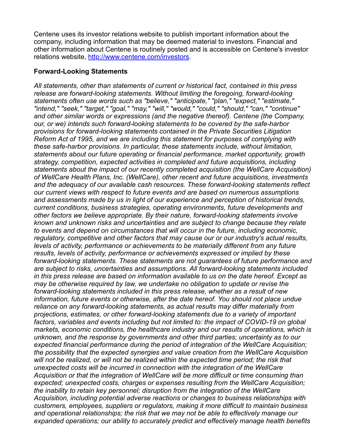Centene uses its investor relations website to publish important information about the company, including information that may be deemed material to investors. Financial and other information about Centene is routinely posted and is accessible on Centene's investor relations website, <http://www.centene.com/investors>.

## **Forward-Looking Statements**

*All statements, other than statements of current or historical fact, contained in this press release are forward-looking statements. Without limiting the foregoing, forward-looking statements often use words such as "believe," "anticipate," "plan," "expect," "estimate," "intend," "seek," "target," "goal," "may," "will," "would," "could," "should," "can," "continue" and other similar words or expressions (and the negative thereof). Centene (the Company, our, or we) intends such forward-looking statements to be covered by the safe-harbor provisions for forward-looking statements contained in the Private Securities Litigation Reform Act of 1995, and we are including this statement for purposes of complying with these safe-harbor provisions. In particular, these statements include, without limitation, statements about our future operating or financial performance, market opportunity, growth strategy, competition, expected activities in completed and future acquisitions, including statements about the impact of our recently completed acquisition (the WellCare Acquisition) of WellCare Health Plans, Inc. (WellCare), other recent and future acquisitions, investments and the adequacy of our available cash resources. These forward-looking statements reflect our current views with respect to future events and are based on numerous assumptions and assessments made by us in light of our experience and perception of historical trends, current conditions, business strategies, operating environments, future developments and other factors we believe appropriate. By their nature, forward-looking statements involve known and unknown risks and uncertainties and are subject to change because they relate to events and depend on circumstances that will occur in the future, including economic, regulatory, competitive and other factors that may cause our or our industry's actual results, levels of activity, performance or achievements to be materially different from any future results, levels of activity, performance or achievements expressed or implied by these forward-looking statements. These statements are not guarantees of future performance and are subject to risks, uncertainties and assumptions. All forward-looking statements included in this press release are based on information available to us on the date hereof. Except as may be otherwise required by law, we undertake no obligation to update or revise the forward-looking statements included in this press release, whether as a result of new information, future events or otherwise, after the date hereof. You should not place undue reliance on any forward-looking statements, as actual results may differ materially from projections, estimates, or other forward-looking statements due to a variety of important factors, variables and events including but not limited to: the impact of COVID-19 on global markets, economic conditions, the healthcare industry and our results of operations, which is unknown, and the response by governments and other third parties; uncertainty as to our expected financial performance during the period of integration of the WellCare Acquisition; the possibility that the expected synergies and value creation from the WellCare Acquisition will not be realized, or will not be realized within the expected time period; the risk that unexpected costs will be incurred in connection with the integration of the WellCare Acquisition or that the integration of WellCare will be more difficult or time consuming than expected; unexpected costs, charges or expenses resulting from the WellCare Acquisition; the inability to retain key personnel; disruption from the integration of the WellCare Acquisition, including potential adverse reactions or changes to business relationships with customers, employees, suppliers or regulators, making it more difficult to maintain business and operational relationships; the risk that we may not be able to effectively manage our expanded operations; our ability to accurately predict and effectively manage health benefits*